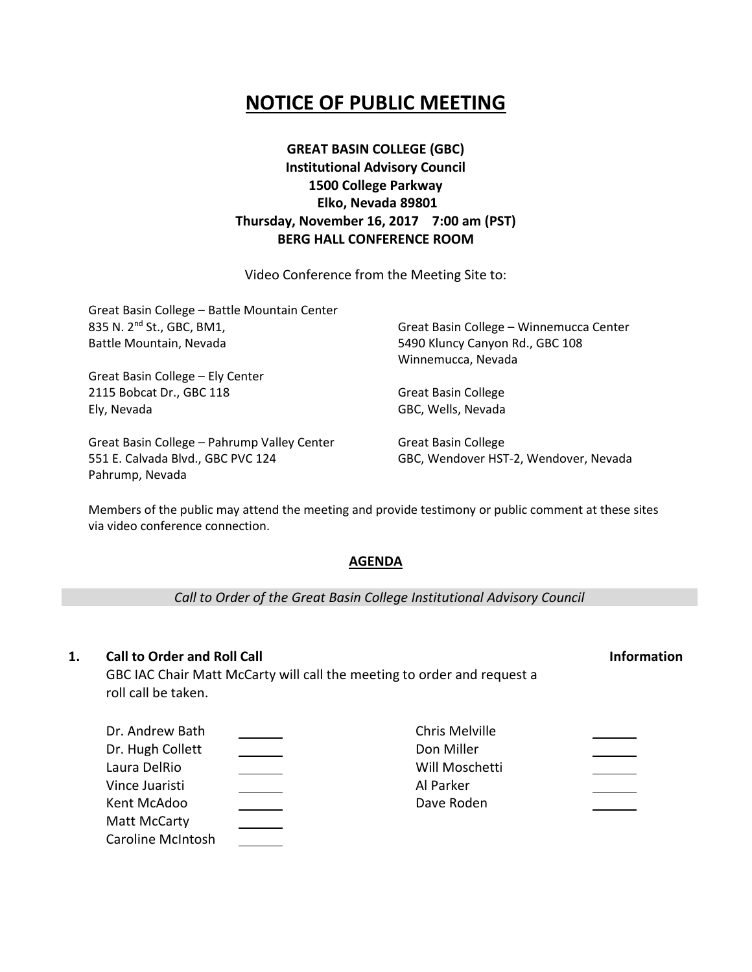# **NOTICE OF PUBLIC MEETING**

## **GREAT BASIN COLLEGE (GBC) Institutional Advisory Council 1500 College Parkway Elko, Nevada 89801 Thursday, November 16, 2017 7:00 am (PST) BERG HALL CONFERENCE ROOM**

Video Conference from the Meeting Site to:

| Great Basin College - Battle Mountain Center |                                         |
|----------------------------------------------|-----------------------------------------|
| 835 N. 2 <sup>nd</sup> St., GBC, BM1,        | Great Basin College - Winnemucca Center |
| Battle Mountain, Nevada                      | 5490 Kluncy Canyon Rd., GBC 108         |
|                                              | Winnemucca, Nevada                      |
| Great Basin College - Ely Center             |                                         |
| 2115 Bobcat Dr., GBC 118                     | <b>Great Basin College</b>              |
| Ely, Nevada                                  | GBC, Wells, Nevada                      |
| Great Basin College - Pahrump Valley Center  | Great Basin College                     |
| 551 E. Calvada Blvd., GBC PVC 124            | GBC, Wendover HST-2, Wendover, Nevada   |

Members of the public may attend the meeting and provide testimony or public comment at these sites via video conference connection.

## **AGENDA**

*Call to Order of the Great Basin College Institutional Advisory Council*

## **1. Call to Order and Roll Call Information**

Pahrump, Nevada

GBC IAC Chair Matt McCarty will call the meeting to order and request a roll call be taken.

| Dr. Andrew Bath          | Chris Melville |  |
|--------------------------|----------------|--|
| Dr. Hugh Collett         | Don Miller     |  |
| Laura DelRio             | Will Moschetti |  |
| Vince Juaristi           | Al Parker      |  |
| Kent McAdoo              | Dave Roden     |  |
| Matt McCarty             |                |  |
| <b>Caroline McIntosh</b> |                |  |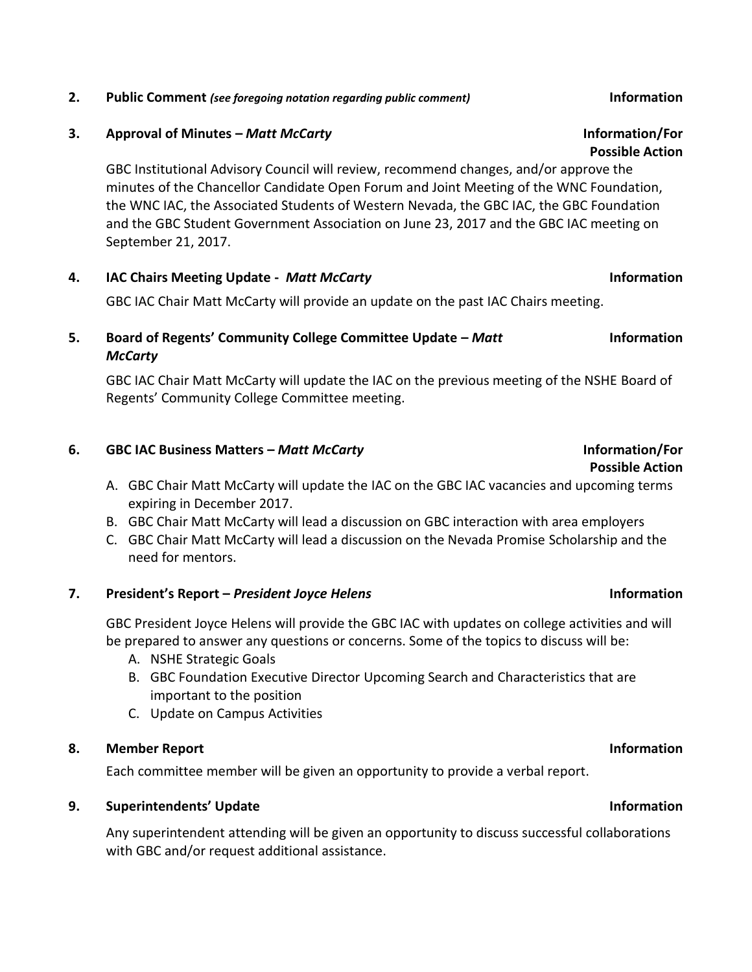## **2. Public Comment** *(see foregoing notation regarding public comment)* **Information**

## **3. Approval of Minutes –** *Matt McCarty* **Information/For**

GBC Institutional Advisory Council will review, recommend changes, and/or approve the minutes of the Chancellor Candidate Open Forum and Joint Meeting of the WNC Foundation, the WNC IAC, the Associated Students of Western Nevada, the GBC IAC, the GBC Foundation and the GBC Student Government Association on June 23, 2017 and the GBC IAC meeting on September 21, 2017.

## **4. IAC Chairs Meeting Update -** *Matt McCarty* **Information**

GBC IAC Chair Matt McCarty will provide an update on the past IAC Chairs meeting.

## **5. Board of Regents' Community College Committee Update –** *Matt McCarty*

GBC IAC Chair Matt McCarty will update the IAC on the previous meeting of the NSHE Board of Regents' Community College Committee meeting.

## **6. GBC IAC Business Matters –** *Matt McCarty* **Information/For**

- A. GBC Chair Matt McCarty will update the IAC on the GBC IAC vacancies and upcoming terms expiring in December 2017.
- B. GBC Chair Matt McCarty will lead a discussion on GBC interaction with area employers
- C. GBC Chair Matt McCarty will lead a discussion on the Nevada Promise Scholarship and the need for mentors.

# **7. President's Report –** *President Joyce Helens* **Information**

GBC President Joyce Helens will provide the GBC IAC with updates on college activities and will be prepared to answer any questions or concerns. Some of the topics to discuss will be:

- A. NSHE Strategic Goals
- B. GBC Foundation Executive Director Upcoming Search and Characteristics that are important to the position
- C. Update on Campus Activities

# **8. Member Report Information**

Each committee member will be given an opportunity to provide a verbal report.

# **9. Superintendents' Update Information**

Any superintendent attending will be given an opportunity to discuss successful collaborations with GBC and/or request additional assistance.

# **Possible Action**

# **Possible Action**

# **Information**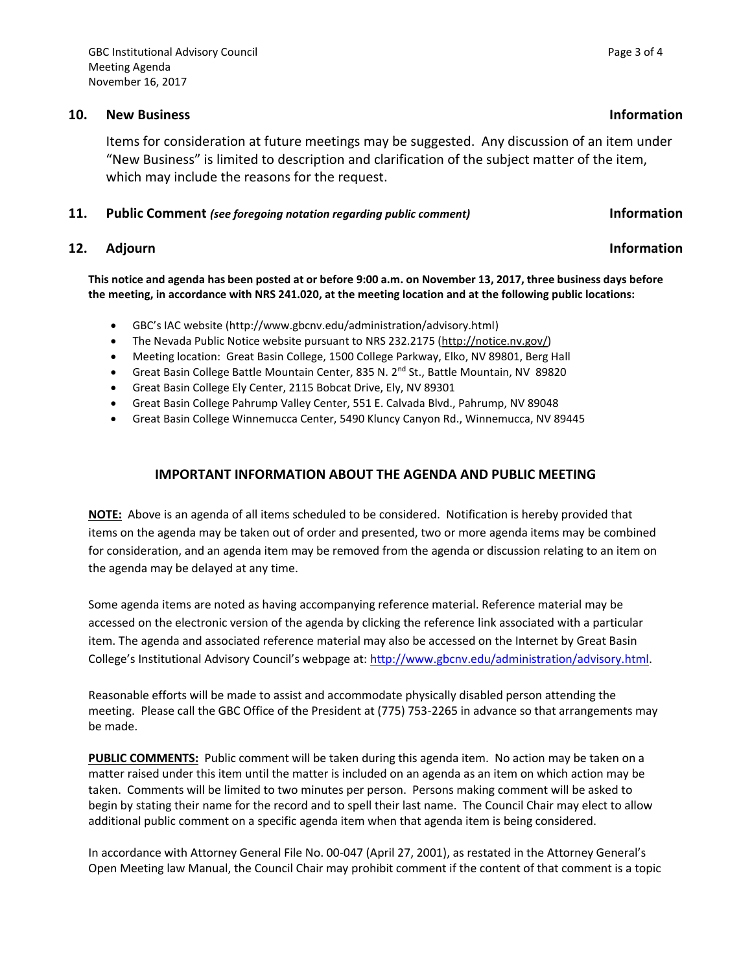## **10. New Business Information**

Items for consideration at future meetings may be suggested. Any discussion of an item under "New Business" is limited to description and clarification of the subject matter of the item, which may include the reasons for the request.

### **11. Public Comment** *(see foregoing notation regarding public comment)* **Information**

## **12.** Adjourn **Information**

**This notice and agenda has been posted at or before 9:00 a.m. on November 13, 2017, three business days before the meeting, in accordance with NRS 241.020, at the meeting location and at the following public locations:**

- GBC's IAC website (http://www.gbcnv.edu/administration/advisory.html)
- The Nevada Public Notice website pursuant to NRS 232.2175 [\(http://notice.nv.gov/\)](http://notice.nv.gov/)
- Meeting location: Great Basin College, 1500 College Parkway, Elko, NV 89801, Berg Hall
- Great Basin College Battle Mountain Center, 835 N. 2<sup>nd</sup> St., Battle Mountain, NV 89820
- Great Basin College Ely Center, 2115 Bobcat Drive, Ely, NV 89301
- Great Basin College Pahrump Valley Center, 551 E. Calvada Blvd., Pahrump, NV 89048
- Great Basin College Winnemucca Center, 5490 Kluncy Canyon Rd., Winnemucca, NV 89445

### **IMPORTANT INFORMATION ABOUT THE AGENDA AND PUBLIC MEETING**

**NOTE:** Above is an agenda of all items scheduled to be considered. Notification is hereby provided that items on the agenda may be taken out of order and presented, two or more agenda items may be combined for consideration, and an agenda item may be removed from the agenda or discussion relating to an item on the agenda may be delayed at any time.

Some agenda items are noted as having accompanying reference material. Reference material may be accessed on the electronic version of the agenda by clicking the reference link associated with a particular item. The agenda and associated reference material may also be accessed on the Internet by Great Basin College's Institutional Advisory Council's webpage at: [http://www.gbcnv.edu/administration/advisory.html.](http://www.gbcnv.edu/administration/advisory.html)

Reasonable efforts will be made to assist and accommodate physically disabled person attending the meeting. Please call the GBC Office of the President at (775) 753-2265 in advance so that arrangements may be made.

**PUBLIC COMMENTS:** Public comment will be taken during this agenda item. No action may be taken on a matter raised under this item until the matter is included on an agenda as an item on which action may be taken. Comments will be limited to two minutes per person. Persons making comment will be asked to begin by stating their name for the record and to spell their last name. The Council Chair may elect to allow additional public comment on a specific agenda item when that agenda item is being considered.

In accordance with Attorney General File No. 00-047 (April 27, 2001), as restated in the Attorney General's Open Meeting law Manual, the Council Chair may prohibit comment if the content of that comment is a topic